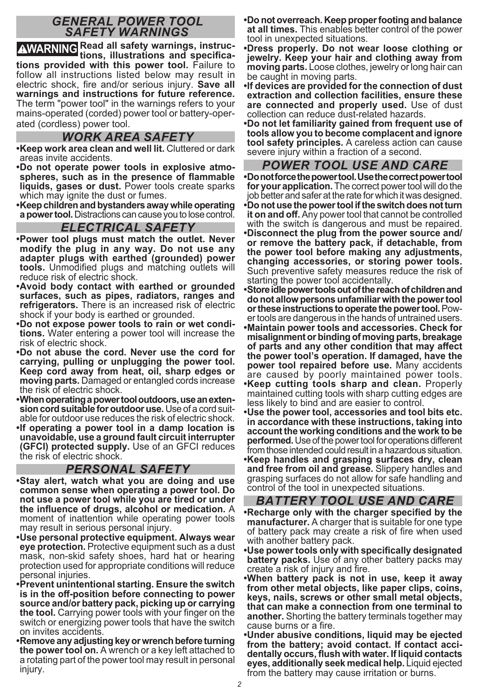## *GENERAL POWER TOOL SAFETY WARNINGS*

**WARNING Read all safety warnings, instruc-tions, illustrations and specifications provided with this power tool.** Failure to follow all instructions listed below may result in electric shock, fire and/or serious injury. **Save all warnings and instructions for future reference.**  The term "power tool" in the warnings refers to your mains-operated (corded) power tool or battery-operated (cordless) power tool.

## *WORK AREA SAFETY*

- **•Keep work area clean and well lit.** Cluttered or dark areas invite accidents.
- **•Do not operate power tools in explosive atmo spheres, such as in the presence of flammable liquids, gases or dust.** Power tools create sparks which may ignite the dust or fumes.
- **•Keep children and bystanders away while operating a power tool.** Distractions can cause you to lose control.

#### *ELECTRICAL SAFETY*

- **•Power tool plugs must match the outlet. Never modify the plug in any way. Do not use any adapter plugs with earthed (grounded) power tools.** Unmodified plugs and matching outlets will reduce risk of electric shock.
- **•Avoid body contact with earthed or grounded surfaces, such as pipes, radiators, ranges and refrigerators.** There is an increased risk of electric shock if your body is earthed or grounded.
- **•Do not expose power tools to rain or wet condi tions.** Water entering a power tool will increase the risk of electric shock.
- **•Do not abuse the cord. Never use the cord for carrying, pulling or unplugging the power tool. Keep cord away from heat, oil, sharp edges or moving parts.** Damaged or entangled cords increase the risk of electric shock.
- **•When operating a power tool outdoors, use an exten** able for outdoor use reduces the risk of electric shock.
- **•If operating a power tool in a damp location is unavoidable, use a ground fault circuit interrupter (GFCI) protected supply.** Use of an GFCI reduces the risk of electric shock.

# *PERSONAL SAFETY*

- **•Stay alert, watch what you are doing and use common sense when operating a power tool. Do not use a power tool while you are tired or under the influence of drugs, alcohol or medication.** A moment of inattention while operating power tools may result in serious personal injury.
- **•Use personal protective equipment. Always wear eye protection.** Protective equipment such as a dust mask, non-skid safety shoes, hard hat or hearing protection used for appropriate conditions will reduce personal injuries.
- **•Prevent unintentional starting. Ensure the switch is in the off-position before connecting to power source and/or battery pack, picking up or carrying the tool.** Carrying power tools with your finger on the switch or energizing power tools that have the switch on invites accidents.
- **•Remove any adjusting key or wrench before turning the power tool on.** A wrench or a key left attached to a rotating part of the power tool may result in personal injury.
- **•Do not overreach. Keep proper footing and balance at all times.** This enables better control of the power tool in unexpected situations.
- **•Dress properly. Do not wear loose clothing or jewelry. Keep your hair and clothing away from moving parts.** Loose clothes, jewelry or long hair can be caught in moving parts.
- **•If devices are provided for the connection of dust extraction and collection facilities, ensure these are connected and properly used.** Use of dust collection can reduce dust-related hazards.

**•Do not let familiarity gained from frequent use of tools allow you to become complacent and ignore tool safety principles.** A careless action can cause severe injury within a fraction of a second.

## *POWER TOOL USE AND CARE*

**•Do not force the power tool. Use the correct power tool for your application.** The correct power tool will do the job better and safer at the rate for which it was designed.

**•Do not use the power tool if the switch does not turn it on and off.** Any power tool that cannot be controlled with the switch is dangerous and must be repaired. **•Disconnect the plug from the power source and/ or remove the battery pack, if detachable, from the power tool before making any adjustments, changing accessories, or storing power tools.**  Such preventive safety measures reduce the risk of starting the power tool accidentally.

**•Store idle power tools out of the reach of children and do not allow persons unfamiliar with the power tool**  er tools are dangerous in the hands of untrained users. **•Maintain power tools and accessories. Check for misalignment or binding of moving parts, breakage of parts and any other condition that may affect the power tool's operation. If damaged, have the power tool repaired before use.** Many accidents are caused by poorly maintained power tools. **•Keep cutting tools sharp and clean.** Properly maintained cutting tools with sharp cutting edges are less likely to bind and are easier to control.

- **•Use the power tool, accessories and tool bits etc. in accordance with these instructions, taking into account the working conditions and the work to be performed.** Use of the power tool for operations different from those intended could result in a hazardous situation.
- **•Keep handles and grasping surfaces dry, clean and free from oil and grease.** Slippery handles and grasping surfaces do not allow for safe handling and control of the tool in unexpected situations.

## *BATTERY TOOL USE AND CARE*

- **•Recharge only with the charger specified by the manufacturer.** A charger that is suitable for one type of battery pack may create a risk of fire when used with another battery pack.
- **•Use power tools only with specifically designated battery packs.** Use of any other battery packs may create a risk of injury and fire.
- **•When battery pack is not in use, keep it away from other metal objects, like paper clips, coins, keys, nails, screws or other small metal objects, that can make a connection from one terminal to another.** Shorting the battery terminals together may cause burns or a fire.
- **•Under abusive conditions, liquid may be ejected from the battery; avoid contact. If contact acci dentally occurs, flush with water. If liquid contacts eyes, additionally seek medical help.** Liquid ejected from the battery may cause irritation or burns.